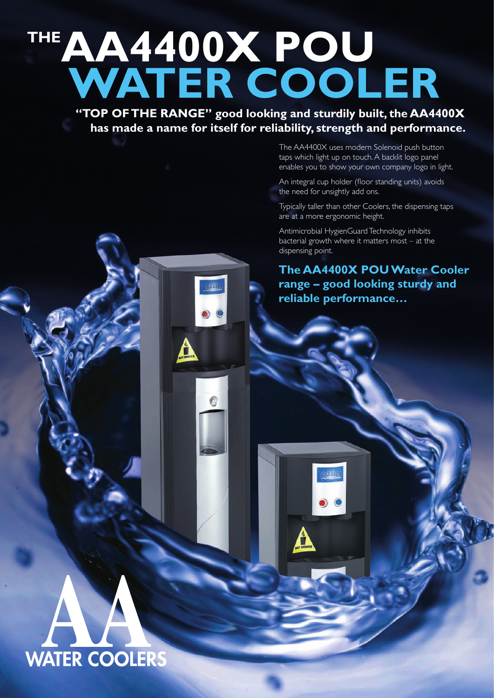# **THEAA4400X POU Water Cooler**

1040

**"TOP OF THE RANGE" good looking and sturdily built, the AA4400X has made a name for itself for reliability, strength and performance.**

> The AA4400X uses modern Solenoid push button taps which light up on touch. A backlit logo panel enables you to show your own company logo in light.

An integral cup holder (floor standing units) avoids the need for unsightly add ons.

Typically taller than other Coolers, the dispensing taps are at a more ergonomic height.

Antimicrobial HygienGuard Technology inhibits bacterial growth where it matters most – at the dispensing point.

1941

### **The AA4400X POU Water Cooler range – good looking sturdy and reliable performance…**